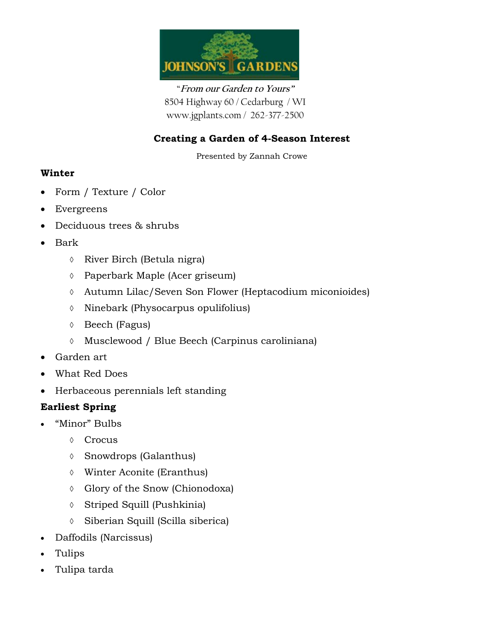

"**From our Garden to Yours"** 8504 Highway 60 / Cedarburg / WI www.jgplants.com / 262-377-2500

# **Creating a Garden of 4-Season Interest**

Presented by Zannah Crowe

### **Winter**

- Form / Texture / Color
- Evergreens
- Deciduous trees & shrubs
- Bark
	- River Birch (Betula nigra)
	- Paperbark Maple (Acer griseum)
	- Autumn Lilac/Seven Son Flower (Heptacodium miconioides)
	- $\Diamond$  Ninebark (Physocarpus opulifolius)
	- Beech (Fagus)
	- Musclewood / Blue Beech (Carpinus caroliniana)
- Garden art
- What Red Does
- Herbaceous perennials left standing

## **Earliest Spring**

- "Minor" Bulbs
	- Crocus
	- Snowdrops (Galanthus)
	- Winter Aconite (Eranthus)
	- Glory of the Snow (Chionodoxa)
	- Striped Squill (Pushkinia)
	- Siberian Squill (Scilla siberica)
- Daffodils (Narcissus)
- Tulips
- Tulipa tarda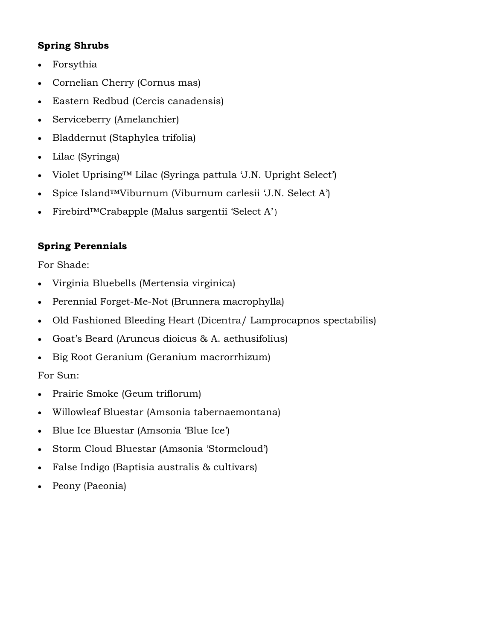## **Spring Shrubs**

- Forsythia
- Cornelian Cherry (Cornus mas)
- Eastern Redbud (Cercis canadensis)
- Serviceberry (Amelanchier)
- Bladdernut (Staphylea trifolia)
- Lilac (Syringa)
- Violet Uprising™ Lilac (Syringa pattula 'J.N. Upright Select')
- Spice Island™Viburnum (Viburnum carlesii 'J.N. Select A')
- Firebird™Crabapple (Malus sargentii 'Select A' )

## **Spring Perennials**

For Shade:

- Virginia Bluebells (Mertensia virginica)
- Perennial Forget-Me-Not (Brunnera macrophylla)
- Old Fashioned Bleeding Heart (Dicentra/ Lamprocapnos spectabilis)
- Goat's Beard (Aruncus dioicus & A. aethusifolius)
- Big Root Geranium (Geranium macrorrhizum)

For Sun:

- Prairie Smoke (Geum triflorum)
- Willowleaf Bluestar (Amsonia tabernaemontana)
- Blue Ice Bluestar (Amsonia 'Blue Ice')
- Storm Cloud Bluestar (Amsonia 'Stormcloud')
- False Indigo (Baptisia australis & cultivars)
- Peony (Paeonia)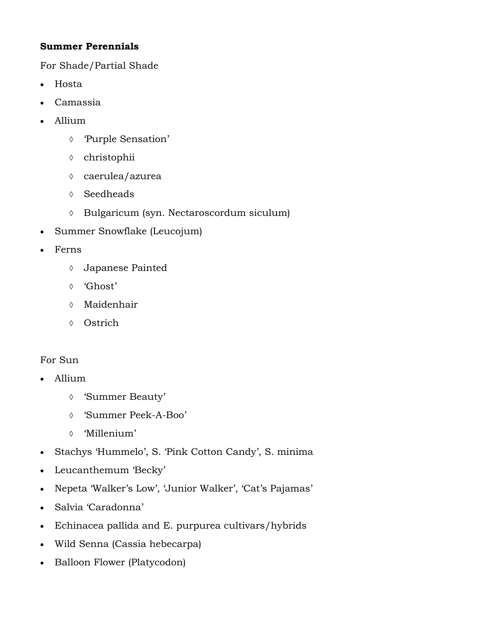## **Summer Perennials**

For Shade/Partial Shade

- Hosta
- Camassia
- Allium
	- 'Purple Sensation'
	- christophii
	- caerulea/azurea
	- Seedheads
	- Bulgaricum (syn. Nectaroscordum siculum)
- Summer Snowflake (Leucojum)
- Ferns
	- Japanese Painted
	- 'Ghost'
	- Maidenhair
	- Ostrich

### For Sun

- Allium
	- 'Summer Beauty'
	- 'Summer Peek-A-Boo'
	- 'Millenium'
- Stachys 'Hummelo', S. 'Pink Cotton Candy', S. minima
- Leucanthemum 'Becky'
- Nepeta 'Walker's Low', 'Junior Walker', 'Cat's Pajamas'
- Salvia 'Caradonna'
- Echinacea pallida and E. purpurea cultivars/hybrids
- Wild Senna (Cassia hebecarpa)
- Balloon Flower (Platycodon)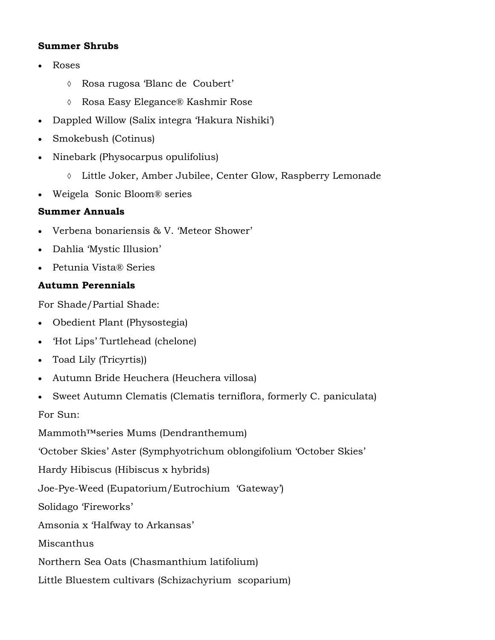#### **Summer Shrubs**

- Roses
	- Rosa rugosa 'Blanc de Coubert'
	- Rosa Easy Elegance® Kashmir Rose
- Dappled Willow (Salix integra 'Hakura Nishiki')
- Smokebush (Cotinus)
- Ninebark (Physocarpus opulifolius)
	- Little Joker, Amber Jubilee, Center Glow, Raspberry Lemonade
- Weigela Sonic Bloom® series

### **Summer Annuals**

- Verbena bonariensis & V. 'Meteor Shower'
- Dahlia 'Mystic Illusion'
- Petunia Vista® Series

## **Autumn Perennials**

For Shade/Partial Shade:

- Obedient Plant (Physostegia)
- 'Hot Lips' Turtlehead (chelone)
- Toad Lily (Tricyrtis))
- Autumn Bride Heuchera (Heuchera villosa)
- Sweet Autumn Clematis (Clematis terniflora, formerly C. paniculata)

For Sun:

Mammoth™series Mums (Dendranthemum)

'October Skies' Aster (Symphyotrichum oblongifolium 'October Skies'

Hardy Hibiscus (Hibiscus x hybrids)

Joe-Pye-Weed (Eupatorium/Eutrochium 'Gateway')

Solidago 'Fireworks'

Amsonia x 'Halfway to Arkansas'

Miscanthus

Northern Sea Oats (Chasmanthium latifolium)

Little Bluestem cultivars (Schizachyrium scoparium)